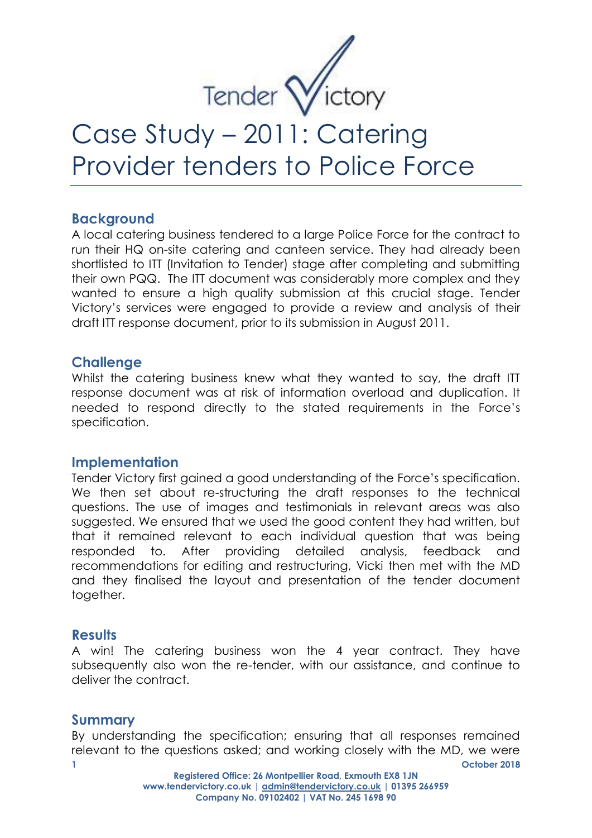

# Case Study – 2011: Catering Provider tenders to Police Force

## **Background**

A local catering business tendered to a large Police Force for the contract to run their HQ on-site catering and canteen service. They had already been shortlisted to ITT (Invitation to Tender) stage after completing and submitting their own PQQ. The ITT document was considerably more complex and they wanted to ensure a high quality submission at this crucial stage. Tender Victory's services were engaged to provide a review and analysis of their draft ITT response document, prior to its submission in August 2011.

## **Challenge**

Whilst the catering business knew what they wanted to say, the draft ITT response document was at risk of information overload and duplication. It needed to respond directly to the stated requirements in the Force's specification.

#### **Implementation**

Tender Victory first gained a good understanding of the Force's specification. We then set about re-structuring the draft responses to the technical questions. The use of images and testimonials in relevant areas was also suggested. We ensured that we used the good content they had written, but that it remained relevant to each individual question that was being responded to. After providing detailed analysis, feedback and recommendations for editing and restructuring, Vicki then met with the MD and they finalised the layout and presentation of the tender document together.

#### **Results**

A win! The catering business won the 4 year contract. They have subsequently also won the re-tender, with our assistance, and continue to deliver the contract.

# **Summary**

**1 October 2018**  By understanding the specification; ensuring that all responses remained relevant to the questions asked; and working closely with the MD, we were